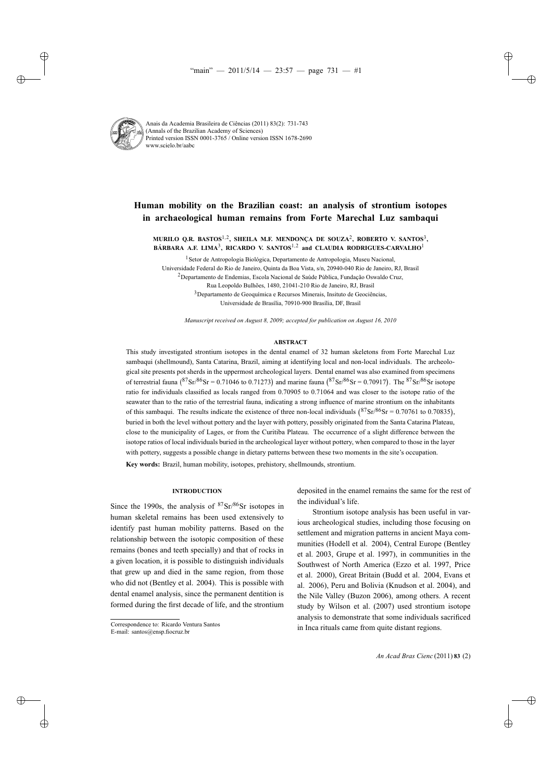

Anais da Academia Brasileira de Ciências (2011) 83(2): 731-743 (Annals of the Brazilian Academy of Sciences) Printed version ISSN 0001-3765 / Online version ISSN 1678-2690 www.scielo.br/aabc

# **Human mobility on the Brazilian coast: an analysis of strontium isotopes in archaeological human remains from Forte Marechal Luz sambaqui**

**MURILO Q.R. BASTOS**1,2**, SHEILA M.F. MENDONÇA DE SOUZA**2**, ROBERTO V. SANTOS**3**, BÁRBARA A.F. LIMA**3**, RICARDO V. SANTOS**1,<sup>2</sup> **and CLAUDIA RODRIGUES-CARVALHO**<sup>1</sup>

<sup>1</sup> Setor de Antropologia Biológica, Departamento de Antropologia, Museu Nacional,

Universidade Federal do Rio de Janeiro, Quinta da Boa Vista, s/n, 20940-040 Rio de Janeiro, RJ, Brasil

2Departamento de Endemias, Escola Nacional de Saúde Pública, Fundação Oswaldo Cruz,

Rua Leopoldo Bulhões, 1480, 21041-210 Rio de Janeiro, RJ, Brasil

3Departamento de Geoquímica e Recursos Minerais, Insituto de Geociências,

Universidade de Brasília, 70910-900 Brasília, DF, Brasil

*Manuscript received on August 8, 2009; accepted for publication on August 16, 2010*

### **ABSTRACT**

This study investigated strontium isotopes in the dental enamel of 32 human skeletons from Forte Marechal Luz sambaqui (shellmound), Santa Catarina, Brazil, aiming at identifying local and non-local individuals. The archeological site presents pot sherds in the uppermost archeological layers. Dental enamel was also examined from specimens of terrestrial fauna  $({}^{87}Sr/{}^{86}Sr = 0.71046$  to 0.71273) and marine fauna  $({}^{87}Sr/{}^{86}Sr = 0.70917)$ . The  ${}^{87}Sr/{}^{86}Sr$  isotope ratio for individuals classified as locals ranged from 0.70905 to 0.71064 and was closer to the isotope ratio of the seawater than to the ratio of the terrestrial fauna, indicating a strong influence of marine strontium on the inhabitants of this sambaqui. The results indicate the existence of three non-local individuals  $(^{87}Sr^{86}Sr = 0.70761$  to 0.70835), buried in both the level without pottery and the layer with pottery, possibly originated from the Santa Catarina Plateau, close to the municipality of Lages, or from the Curitiba Plateau. The occurrence of a slight difference between the isotope ratios of local individuals buried in the archeological layer without pottery, when compared to those in the layer with pottery, suggests a possible change in dietary patterns between these two moments in the site's occupation.

**Key words:** Brazil, human mobility, isotopes, prehistory, shellmounds, strontium.

# **INTRODUCTION**

Since the 1990s, the analysis of  $87\text{Sr}/86\text{Sr}$  isotopes in human skeletal remains has been used extensively to identify past human mobility patterns. Based on the relationship between the isotopic composition of these remains (bones and teeth specially) and that of rocks in a given location, it is possible to distinguish individuals that grew up and died in the same region, from those who did not (Bentley et al. 2004). This is possible with dental enamel analysis, since the permanent dentition is formed during the first decade of life, and the strontium

deposited in the enamel remains the same for the rest of the individual's life.

Strontium isotope analysis has been useful in various archeological studies, including those focusing on settlement and migration patterns in ancient Maya communities (Hodell et al. 2004), Central Europe (Bentley et al. 2003, Grupe et al. 1997), in communities in the Southwest of North America (Ezzo et al. 1997, Price et al. 2000), Great Britain (Budd et al. 2004, Evans et al. 2006), Peru and Bolivia (Knudson et al. 2004), and the Nile Valley (Buzon 2006), among others. A recent study by Wilson et al. (2007) used strontium isotope analysis to demonstrate that some individuals sacrificed in Inca rituals came from quite distant regions.

Correspondence to: Ricardo Ventura Santos

E-mail: santos@ensp.fiocruz.br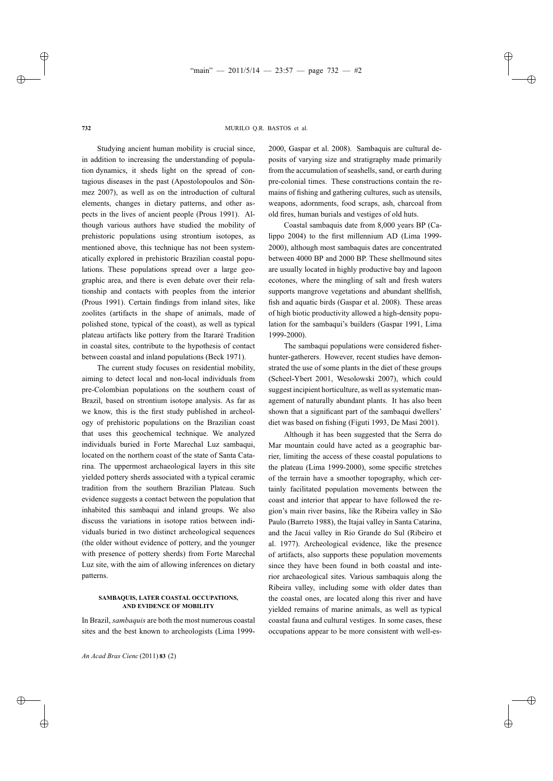Studying ancient human mobility is crucial since, in addition to increasing the understanding of population dynamics, it sheds light on the spread of contagious diseases in the past (Apostolopoulos and Sönmez 2007), as well as on the introduction of cultural elements, changes in dietary patterns, and other aspects in the lives of ancient people (Prous 1991). Although various authors have studied the mobility of prehistoric populations using strontium isotopes, as mentioned above, this technique has not been systematically explored in prehistoric Brazilian coastal populations. These populations spread over a large geographic area, and there is even debate over their relationship and contacts with peoples from the interior (Prous 1991). Certain findings from inland sites, like zoolites (artifacts in the shape of animals, made of polished stone, typical of the coast), as well as typical plateau artifacts like pottery from the Itararé Tradition in coastal sites, contribute to the hypothesis of contact between coastal and inland populations (Beck 1971).

The current study focuses on residential mobility, aiming to detect local and non-local individuals from pre-Colombian populations on the southern coast of Brazil, based on strontium isotope analysis. As far as we know, this is the first study published in archeology of prehistoric populations on the Brazilian coast that uses this geochemical technique. We analyzed individuals buried in Forte Marechal Luz sambaqui, located on the northern coast of the state of Santa Catarina. The uppermost archaeological layers in this site yielded pottery sherds associated with a typical ceramic tradition from the southern Brazilian Plateau. Such evidence suggests a contact between the population that inhabited this sambaqui and inland groups. We also discuss the variations in isotope ratios between individuals buried in two distinct archeological sequences (the older without evidence of pottery, and the younger with presence of pottery sherds) from Forte Marechal Luz site, with the aim of allowing inferences on dietary patterns.

## **SAMBAQUIS, LATER COASTAL OCCUPATIONS, AND EVIDENCE OF MOBILITY**

In Brazil, *sambaquis* are both the most numerous coastal sites and the best known to archeologists (Lima 19992000, Gaspar et al. 2008). Sambaquis are cultural deposits of varying size and stratigraphy made primarily from the accumulation of seashells, sand, or earth during pre-colonial times. These constructions contain the remains of fishing and gathering cultures, such as utensils, weapons, adornments, food scraps, ash, charcoal from old fires, human burials and vestiges of old huts.

Coastal sambaquis date from 8,000 years BP (Calippo 2004) to the first millennium AD (Lima 1999- 2000), although most sambaquis dates are concentrated between 4000 BP and 2000 BP. These shellmound sites are usually located in highly productive bay and lagoon ecotones, where the mingling of salt and fresh waters supports mangrove vegetations and abundant shellfish, fish and aquatic birds (Gaspar et al. 2008). These areas of high biotic productivity allowed a high-density population for the sambaqui's builders (Gaspar 1991, Lima 1999-2000).

The sambaqui populations were considered fisherhunter-gatherers. However, recent studies have demonstrated the use of some plants in the diet of these groups (Scheel-Ybert 2001, Wesolowski 2007), which could suggest incipient horticulture, as well as systematic management of naturally abundant plants. It has also been shown that a significant part of the sambaqui dwellers' diet was based on fishing (Figuti 1993, De Masi 2001).

Although it has been suggested that the Serra do Mar mountain could have acted as a geographic barrier, limiting the access of these coastal populations to the plateau (Lima 1999-2000), some specific stretches of the terrain have a smoother topography, which certainly facilitated population movements between the coast and interior that appear to have followed the region's main river basins, like the Ribeira valley in São Paulo (Barreto 1988), the Itajaí valley in Santa Catarina, and the Jacuí valley in Rio Grande do Sul (Ribeiro et al. 1977). Archeological evidence, like the presence of artifacts, also supports these population movements since they have been found in both coastal and interior archaeological sites. Various sambaquis along the Ribeira valley, including some with older dates than the coastal ones, are located along this river and have yielded remains of marine animals, as well as typical coastal fauna and cultural vestiges. In some cases, these occupations appear to be more consistent with well-es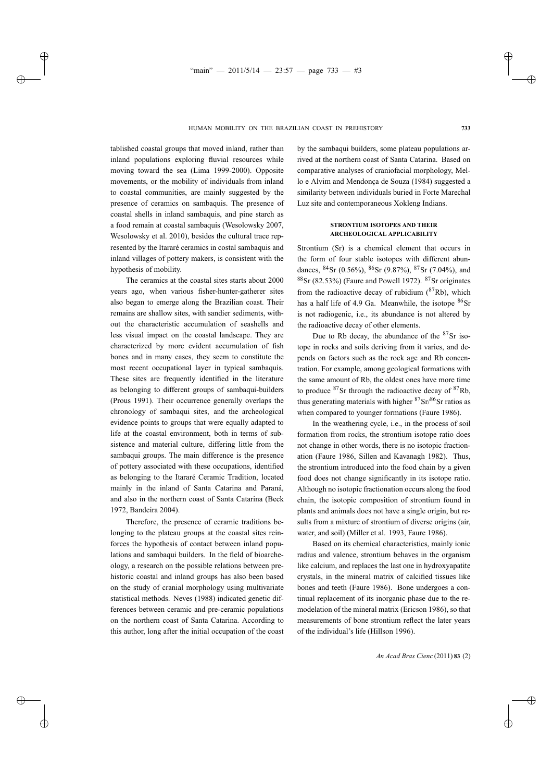tablished coastal groups that moved inland, rather than inland populations exploring fluvial resources while moving toward the sea (Lima 1999-2000). Opposite movements, or the mobility of individuals from inland to coastal communities, are mainly suggested by the presence of ceramics on sambaquis. The presence of coastal shells in inland sambaquis, and pine starch as a food remain at coastal sambaquis (Wesolowsky 2007, Wesolowsky et al. 2010), besides the cultural trace represented by the Itararé ceramics in costal sambaquis and inland villages of pottery makers, is consistent with the hypothesis of mobility.

The ceramics at the coastal sites starts about 2000 years ago, when various fisher-hunter-gatherer sites also began to emerge along the Brazilian coast. Their remains are shallow sites, with sandier sediments, without the characteristic accumulation of seashells and less visual impact on the coastal landscape. They are characterized by more evident accumulation of fish bones and in many cases, they seem to constitute the most recent occupational layer in typical sambaquis. These sites are frequently identified in the literature as belonging to different groups of sambaqui-builders (Prous 1991). Their occurrence generally overlaps the chronology of sambaqui sites, and the archeological evidence points to groups that were equally adapted to life at the coastal environment, both in terms of subsistence and material culture, differing little from the sambaqui groups. The main difference is the presence of pottery associated with these occupations, identified as belonging to the Itararé Ceramic Tradition, located mainly in the inland of Santa Catarina and Paraná, and also in the northern coast of Santa Catarina (Beck 1972, Bandeira 2004).

Therefore, the presence of ceramic traditions belonging to the plateau groups at the coastal sites reinforces the hypothesis of contact between inland populations and sambaqui builders. In the field of bioarcheology, a research on the possible relations between prehistoric coastal and inland groups has also been based on the study of cranial morphology using multivariate statistical methods. Neves (1988) indicated genetic differences between ceramic and pre-ceramic populations on the northern coast of Santa Catarina. According to this author, long after the initial occupation of the coast by the sambaqui builders, some plateau populations arrived at the northern coast of Santa Catarina. Based on comparative analyses of craniofacial morphology, Mello e Alvim and Mendonça de Souza (1984) suggested a similarity between individuals buried in Forte Marechal Luz site and contemporaneous Xokleng Indians.

# **STRONTIUM ISOTOPES AND THEIR ARCHEOLOGICAL APPLICABILITY**

Strontium (Sr) is a chemical element that occurs in the form of four stable isotopes with different abundances,  $^{84}$ Sr (0.56%),  $^{86}$ Sr (9.87%),  $^{87}$ Sr (7.04%), and  $88$ Sr (82.53%) (Faure and Powell 1972).  $87$ Sr originates from the radioactive decay of rubidium  $(^{87}Rb)$ , which has a half life of 4.9 Ga. Meanwhile, the isotope  ${}^{86}Sr$ is not radiogenic, i.e., its abundance is not altered by the radioactive decay of other elements.

Due to Rb decay, the abundance of the 87Sr isotope in rocks and soils deriving from it varies, and depends on factors such as the rock age and Rb concentration. For example, among geological formations with the same amount of Rb, the oldest ones have more time to produce  ${}^{87}$ Sr through the radioactive decay of  ${}^{87}$ Rb, thus generating materials with higher  $87\text{Sr}/86\text{Sr}$  ratios as when compared to younger formations (Faure 1986).

In the weathering cycle, i.e., in the process of soil formation from rocks, the strontium isotope ratio does not change in other words, there is no isotopic fractionation (Faure 1986, Sillen and Kavanagh 1982). Thus, the strontium introduced into the food chain by a given food does not change significantly in its isotope ratio. Although no isotopic fractionation occurs along the food chain, the isotopic composition of strontium found in plants and animals does not have a single origin, but results from a mixture of strontium of diverse origins (air, water, and soil) (Miller et al. 1993, Faure 1986).

Based on its chemical characteristics, mainly ionic radius and valence, strontium behaves in the organism like calcium, and replaces the last one in hydroxyapatite crystals, in the mineral matrix of calcified tissues like bones and teeth (Faure 1986). Bone undergoes a continual replacement of its inorganic phase due to the remodelation of the mineral matrix (Ericson 1986), so that measurements of bone strontium reflect the later years of the individual's life (Hillson 1996).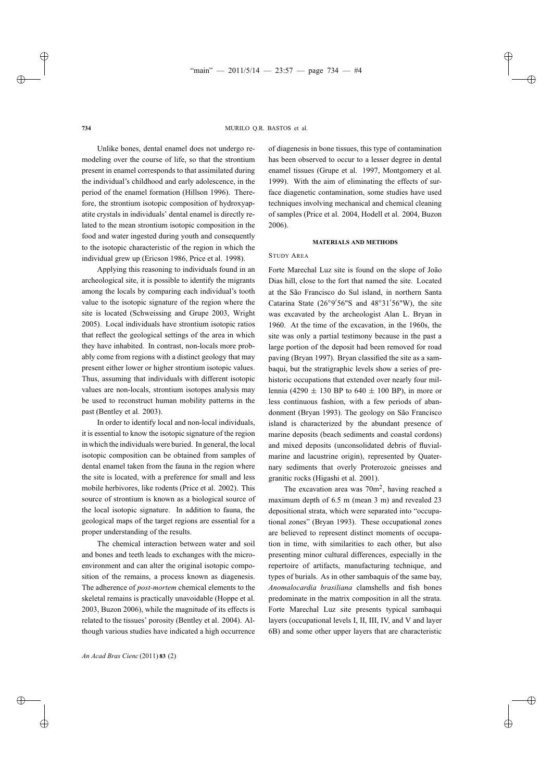Unlike bones, dental enamel does not undergo remodeling over the course of life, so that the strontium present in enamel corresponds to that assimilated during the individual's childhood and early adolescence, in the period of the enamel formation (Hillson 1996). Therefore, the strontium isotopic composition of hydroxyapatite crystals in individuals' dental enamel is directly related to the mean strontium isotopic composition in the food and water ingested during youth and consequently to the isotopic characteristic of the region in which the individual grew up (Ericson 1986, Price et al. 1998).

Applying this reasoning to individuals found in an archeological site, it is possible to identify the migrants among the locals by comparing each individual's tooth value to the isotopic signature of the region where the site is located (Schweissing and Grupe 2003, Wright 2005). Local individuals have strontium isotopic ratios that reflect the geological settings of the area in which they have inhabited. In contrast, non-locals more probably come from regions with a distinct geology that may present either lower or higher strontium isotopic values. Thus, assuming that individuals with different isotopic values are non-locals, strontium isotopes analysis may be used to reconstruct human mobility patterns in the past (Bentley et al. 2003).

In order to identify local and non-local individuals, it is essential to know the isotopic signature of the region in which the individuals were buried. In general, the local isotopic composition can be obtained from samples of dental enamel taken from the fauna in the region where the site is located, with a preference for small and less mobile herbivores, like rodents (Price et al. 2002). This source of strontium is known as a biological source of the local isotopic signature. In addition to fauna, the geological maps of the target regions are essential for a proper understanding of the results.

The chemical interaction between water and soil and bones and teeth leads to exchanges with the microenvironment and can alter the original isotopic composition of the remains, a process known as diagenesis. The adherence of *post-mortem* chemical elements to the skeletal remains is practically unavoidable (Hoppe et al. 2003, Buzon 2006), while the magnitude of its effects is related to the tissues' porosity (Bentley et al. 2004). Although various studies have indicated a high occurrence

of diagenesis in bone tissues, this type of contamination has been observed to occur to a lesser degree in dental enamel tissues (Grupe et al. 1997, Montgomery et al. 1999). With the aim of eliminating the effects of surface diagenetic contamination, some studies have used techniques involving mechanical and chemical cleaning of samples (Price et al. 2004, Hodell et al. 2004, Buzon 2006).

#### **MATERIALS AND METHODS**

## STUDY AREA

Forte Marechal Luz site is found on the slope of João Dias hill, close to the fort that named the site. Located at the São Francisco do Sul island, in northern Santa Catarina State  $(26°9'56"S$  and  $48°31'56"W$ , the site was excavated by the archeologist Alan L. Bryan in 1960. At the time of the excavation, in the 1960s, the site was only a partial testimony because in the past a large portion of the deposit had been removed for road paving (Bryan 1997). Bryan classified the site as a sambaqui, but the stratigraphic levels show a series of prehistoric occupations that extended over nearly four millennia (4290  $\pm$  130 BP to 640  $\pm$  100 BP), in more or less continuous fashion, with a few periods of abandonment (Bryan 1993). The geology on São Francisco island is characterized by the abundant presence of marine deposits (beach sediments and coastal cordons) and mixed deposits (unconsolidated debris of fluvialmarine and lacustrine origin), represented by Quaternary sediments that overly Proterozoic gneisses and granitic rocks (Higashi et al. 2001).

The excavation area was  $70m^2$ , having reached a maximum depth of 6.5 m (mean 3 m) and revealed 23 depositional strata, which were separated into "occupational zones" (Bryan 1993). These occupational zones are believed to represent distinct moments of occupation in time, with similarities to each other, but also presenting minor cultural differences, especially in the repertoire of artifacts, manufacturing technique, and types of burials. As in other sambaquis of the same bay, *Anomalocardia brasiliana* clamshells and fish bones predominate in the matrix composition in all the strata. Forte Marechal Luz site presents typical sambaqui layers (occupational levels I, II, III, IV, and V and layer 6B) and some other upper layers that are characteristic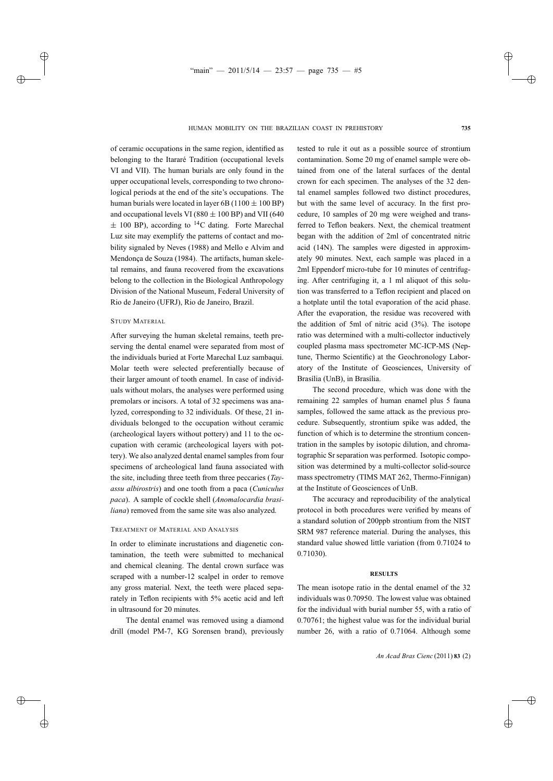of ceramic occupations in the same region, identified as belonging to the Itararé Tradition (occupational levels VI and VII). The human burials are only found in the upper occupational levels, corresponding to two chronological periods at the end of the site's occupations. The human burials were located in layer 6B (1100  $\pm$  100 BP) and occupational levels VI (880  $\pm$  100 BP) and VII (640  $\pm$  100 BP), according to <sup>14</sup>C dating. Forte Marechal Luz site may exemplify the patterns of contact and mobility signaled by Neves (1988) and Mello e Alvim and Mendonça de Souza (1984). The artifacts, human skeletal remains, and fauna recovered from the excavations belong to the collection in the Biological Anthropology Division of the National Museum, Federal University of Rio de Janeiro (UFRJ), Rio de Janeiro, Brazil.

## STUDY MATERIAL

After surveying the human skeletal remains, teeth preserving the dental enamel were separated from most of the individuals buried at Forte Marechal Luz sambaqui. Molar teeth were selected preferentially because of their larger amount of tooth enamel. In case of individuals without molars, the analyses were performed using premolars or incisors. A total of 32 specimens was analyzed, corresponding to 32 individuals. Of these, 21 individuals belonged to the occupation without ceramic (archeological layers without pottery) and 11 to the occupation with ceramic (archeological layers with pottery). We also analyzed dental enamel samples from four specimens of archeological land fauna associated with the site, including three teeth from three peccaries (*Tayassu albirostris*) and one tooth from a paca (*Cuniculus paca*). A sample of cockle shell (*Anomalocardia brasiliana*) removed from the same site was also analyzed.

#### TREATMENT OF MATERIAL AND ANALYSIS

In order to eliminate incrustations and diagenetic contamination, the teeth were submitted to mechanical and chemical cleaning. The dental crown surface was scraped with a number-12 scalpel in order to remove any gross material. Next, the teeth were placed separately in Teflon recipients with 5% acetic acid and left in ultrasound for 20 minutes.

The dental enamel was removed using a diamond drill (model PM-7, KG Sorensen brand), previously tested to rule it out as a possible source of strontium contamination. Some 20 mg of enamel sample were obtained from one of the lateral surfaces of the dental crown for each specimen. The analyses of the 32 dental enamel samples followed two distinct procedures, but with the same level of accuracy. In the first procedure, 10 samples of 20 mg were weighed and transferred to Teflon beakers. Next, the chemical treatment began with the addition of 2ml of concentrated nitric acid (14N). The samples were digested in approximately 90 minutes. Next, each sample was placed in a 2ml Eppendorf micro-tube for 10 minutes of centrifuging. After centrifuging it, a 1 ml aliquot of this solution was transferred to a Teflon recipient and placed on a hotplate until the total evaporation of the acid phase. After the evaporation, the residue was recovered with the addition of 5ml of nitric acid (3%). The isotope ratio was determined with a multi-collector inductively coupled plasma mass spectrometer MC-ICP-MS (Neptune, Thermo Scientific) at the Geochronology Laboratory of the Institute of Geosciences, University of Brasília (UnB), in Brasília.

The second procedure, which was done with the remaining 22 samples of human enamel plus 5 fauna samples, followed the same attack as the previous procedure. Subsequently, strontium spike was added, the function of which is to determine the strontium concentration in the samples by isotopic dilution, and chromatographic Sr separation was performed. Isotopic composition was determined by a multi-collector solid-source mass spectrometry (TIMS MAT 262, Thermo-Finnigan) at the Institute of Geosciences of UnB.

The accuracy and reproducibility of the analytical protocol in both procedures were verified by means of a standard solution of 200ppb strontium from the NIST SRM 987 reference material. During the analyses, this standard value showed little variation (from 0.71024 to 0.71030).

### **RESULTS**

The mean isotope ratio in the dental enamel of the 32 individuals was 0.70950. The lowest value was obtained for the individual with burial number 55, with a ratio of 0.70761; the highest value was for the individual burial number 26, with a ratio of 0.71064. Although some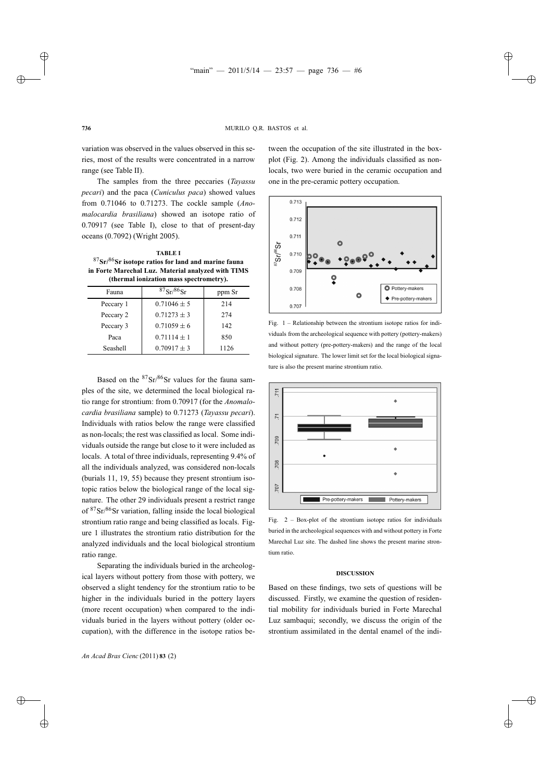variation was observed in the values observed in this series, most of the results were concentrated in a narrow range (see Table II).

The samples from the three peccaries (*Tayassu pecari*) and the paca (*Cuniculus paca*) showed values from 0.71046 to 0.71273. The cockle sample (*Anomalocardia brasiliana*) showed an isotope ratio of 0.70917 (see Table I), close to that of present-day oceans (0.7092) (Wright 2005).

**TABLE I** <sup>87</sup>**Sr/**86**Sr isotope ratios for land and marine fauna in Forte Marechal Luz. Material analyzed with TIMS (thermal ionization mass spectrometry).**

| Fauna     | ${}^{87}Sr/{}^{86}Sr$ | ppm Sr |
|-----------|-----------------------|--------|
| Peccary 1 | $0.71046 \pm 5$       | 214    |
| Peccary 2 | $0.71273 \pm 3$       | 274    |
| Peccary 3 | $0.71059 \pm 6$       | 142    |
| Paca      | $0.71114 \pm 1$       | 850    |
| Seashell  | $0.70917 \pm 3$       | 1126   |

Based on the 87Sr/86Sr values for the fauna samples of the site, we determined the local biological ratio range for strontium: from 0.70917 (for the *Anomalocardia brasiliana* sample) to 0.71273 (*Tayassu pecari*). Individuals with ratios below the range were classified as non-locals; the rest was classified as local. Some individuals outside the range but close to it were included as locals. A total of three individuals, representing 9.4% of all the individuals analyzed, was considered non-locals (burials 11, 19, 55) because they present strontium isotopic ratios below the biological range of the local signature. The other 29 individuals present a restrict range of  $87\text{Sr}/86\text{Sr}$  variation, falling inside the local biological strontium ratio range and being classified as locals. Figure 1 illustrates the strontium ratio distribution for the analyzed individuals and the local biological strontium ratio range.

Separating the individuals buried in the archeological layers without pottery from those with pottery, we observed a slight tendency for the strontium ratio to be higher in the individuals buried in the pottery layers (more recent occupation) when compared to the individuals buried in the layers without pottery (older occupation), with the difference in the isotope ratios between the occupation of the site illustrated in the boxplot (Fig. 2). Among the individuals classified as nonlocals, two were buried in the ceramic occupation and one in the pre-ceramic pottery occupation.



Fig. 1 – Relationship between the strontium isotope ratios for individuals from the archeological sequence with pottery (pottery-makers) and without pottery (pre-pottery-makers) and the range of the local biological signature. The lower limit set for the local biological signature is also the present marine strontium ratio.



Fig. 2 – Box-plot of the strontium isotope ratios for individuals buried in the archeological sequences with and without pottery in Forte Marechal Luz site. The dashed line shows the present marine strontium ratio.

#### **DISCUSSION**

Based on these findings, two sets of questions will be discussed. Firstly, we examine the question of residential mobility for individuals buried in Forte Marechal Luz sambaqui; secondly, we discuss the origin of the strontium assimilated in the dental enamel of the indi-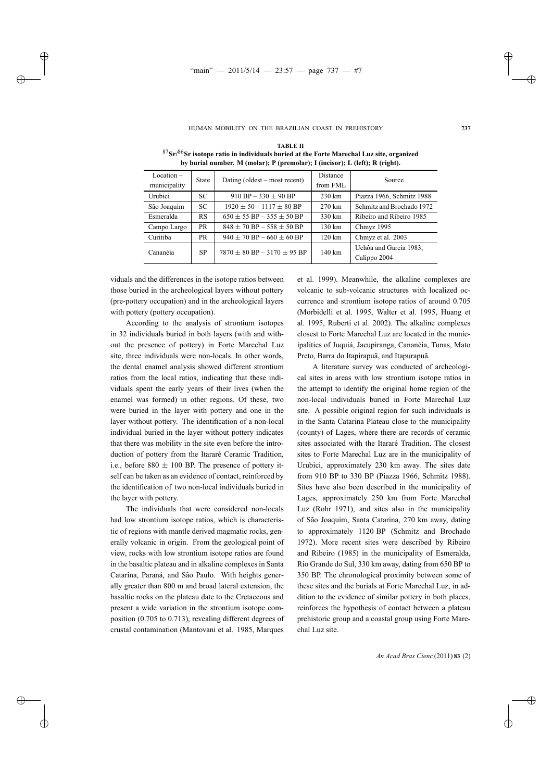| $Location -$<br>municipality | State     | Dating (oldest – most recent)       | <b>Distance</b><br>from FML | Source                    |  |
|------------------------------|-----------|-------------------------------------|-----------------------------|---------------------------|--|
| Urubici                      | <b>SC</b> | $910 BP - 330 \pm 90 BP$            | $230 \mathrm{km}$           | Piazza 1966, Schmitz 1988 |  |
| São Joaquim                  | <b>SC</b> | $1920 \pm 50 - 1117 \pm 80$ BP      | $270 \mathrm{km}$           | Schmitz and Brochado 1972 |  |
| Esmeralda                    | <b>RS</b> | $650 \pm 55$ BP $-355 \pm 50$ BP    | 330 km                      | Ribeiro and Ribeiro 1985  |  |
| Campo Largo                  | <b>PR</b> | $848 \pm 70$ BP $- 558 \pm 50$ BP   | $130 \mathrm{km}$           | Chmyz 1995                |  |
| Curitiba                     | <b>PR</b> | $940 \pm 70$ BP $-660 \pm 60$ BP    | $120 \mathrm{km}$           | Chmyz et al. 2003         |  |
| Cananéia                     | <b>SP</b> | $7870 \pm 80$ BP $- 3170 \pm 95$ BP | 140 km                      | Uchôa and Garcia 1983,    |  |
|                              |           |                                     |                             | Calippo 2004              |  |

**TABLE II** <sup>87</sup>**Sr/**86**Sr isotope ratio in individuals buried at the Forte Marechal Luz site, organized by burial number. M (molar); P (premolar); I (incisor); L (left); R (right).**

viduals and the differences in the isotope ratios between those buried in the archeological layers without pottery (pre-pottery occupation) and in the archeological layers with pottery (pottery occupation).

According to the analysis of strontium isotopes in 32 individuals buried in both layers (with and without the presence of pottery) in Forte Marechal Luz site, three individuals were non-locals. In other words, the dental enamel analysis showed different strontium ratios from the local ratios, indicating that these individuals spent the early years of their lives (when the enamel was formed) in other regions. Of these, two were buried in the layer with pottery and one in the layer without pottery. The identification of a non-local individual buried in the layer without pottery indicates that there was mobility in the site even before the introduction of pottery from the Itararé Ceramic Tradition, i.e., before  $880 \pm 100$  BP. The presence of pottery itself can be taken as an evidence of contact, reinforced by the identification of two non-local individuals buried in the layer with pottery.

The individuals that were considered non-locals had low strontium isotope ratios, which is characteristic of regions with mantle derived magmatic rocks, generally volcanic in origin. From the geological point of view, rocks with low strontium isotope ratios are found in the basaltic plateau and in alkaline complexes in Santa Catarina, Paraná, and São Paulo. With heights generally greater than 800 m and broad lateral extension, the basaltic rocks on the plateau date to the Cretaceous and present a wide variation in the strontium isotope composition (0.705 to 0.713), revealing different degrees of crustal contamination (Mantovani et al. 1985, Marques

et al. 1999). Meanwhile, the alkaline complexes are volcanic to sub-volcanic structures with localized occurrence and strontium isotope ratios of around 0.705 (Morbidelli et al. 1995, Walter et al. 1995, Huang et al. 1995, Ruberti et al. 2002). The alkaline complexes closest to Forte Marechal Luz are located in the municipalities of Juquiá, Jacupiranga, Cananéia, Tunas, Mato Preto, Barra do Itapirapuã, and Itapurapuã.

A literature survey was conducted of archeological sites in areas with low strontium isotope ratios in the attempt to identify the original home region of the non-local individuals buried in Forte Marechal Luz site. A possible original region for such individuals is in the Santa Catarina Plateau close to the municipality (county) of Lages, where there are records of ceramic sites associated with the Itararé Tradition. The closest sites to Forte Marechal Luz are in the municipality of Urubici, approximately 230 km away. The sites date from 910 BP to 330 BP (Piazza 1966, Schmitz 1988). Sites have also been described in the municipality of Lages, approximately 250 km from Forte Marechal Luz (Rohr 1971), and sites also in the municipality of São Joaquim, Santa Catarina, 270 km away, dating to approximately 1120 BP (Schmitz and Brochado 1972). More recent sites were described by Ribeiro and Ribeiro (1985) in the municipality of Esmeralda, Rio Grande do Sul, 330 km away, dating from 650 BP to 350 BP. The chronological proximity between some of these sites and the burials at Forte Marechal Luz, in addition to the evidence of similar pottery in both places, reinforces the hypothesis of contact between a plateau prehistoric group and a coastal group using Forte Marechal Luz site.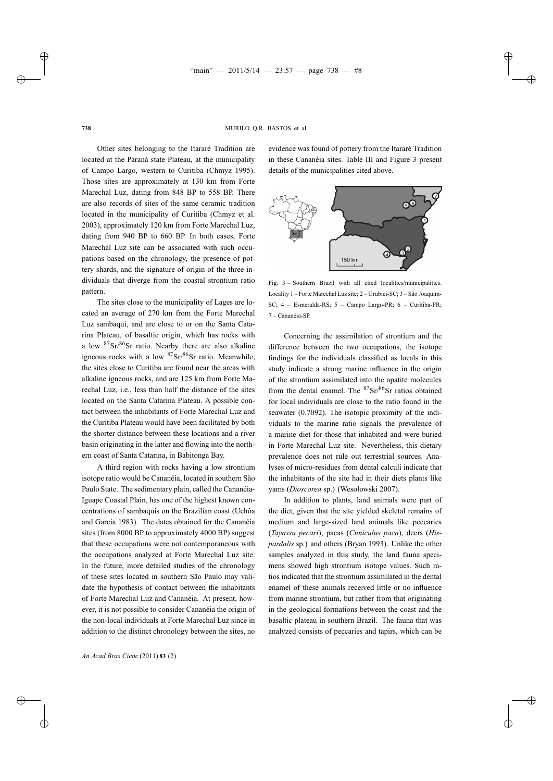Other sites belonging to the Itararé Tradition are located at the Paraná state Plateau, at the municipality of Campo Largo, western to Curitiba (Chmyz 1995). Those sites are approximately at 130 km from Forte Marechal Luz, dating from 848 BP to 558 BP. There are also records of sites of the same ceramic tradition located in the municipality of Curitiba (Chmyz et al. 2003), approximately 120 km from Forte Marechal Luz, dating from 940 BP to 660 BP. In both cases, Forte Marechal Luz site can be associated with such occupations based on the chronology, the presence of pottery shards, and the signature of origin of the three individuals that diverge from the coastal strontium ratio pattern.

The sites close to the municipality of Lages are located an average of 270 km from the Forte Marechal Luz sambaqui, and are close to or on the Santa Catarina Plateau, of basaltic origin, which has rocks with a low  $87\text{Sr}/86\text{Sr}$  ratio. Nearby there are also alkaline igneous rocks with a low <sup>87</sup>Sr/86Sr ratio. Meanwhile, the sites close to Curitiba are found near the areas with alkaline igneous rocks, and are 125 km from Forte Marechal Luz, i.e., less than half the distance of the sites located on the Santa Catarina Plateau. A possible contact between the inhabitants of Forte Marechal Luz and the Curitiba Plateau would have been facilitated by both the shorter distance between these locations and a river basin originating in the latter and flowing into the northern coast of Santa Catarina, in Babitonga Bay.

A third region with rocks having a low strontium isotope ratio would be Cananéia, located in southern São Paulo State. The sedimentary plain, called the Cananéia-Iguape Coastal Plain, has one of the highest known concentrations of sambaquis on the Brazilian coast (Uchôa and Garcia 1983). The dates obtained for the Cananéia sites (from 8000 BP to approximately 4000 BP) suggest that these occupations were not contemporaneous with the occupations analyzed at Forte Marechal Luz site. In the future, more detailed studies of the chronology of these sites located in southern São Paulo may validate the hypothesis of contact between the inhabitants of Forte Marechal Luz and Cananéia. At present, however, it is not possible to consider Cananéia the origin of the non-local individuals at Forte Marechal Luz since in addition to the distinct chronology between the sites, no

evidence was found of pottery from the Itararé Tradition in these Cananéia sites. Table III and Figure 3 present details of the municipalities cited above.



Fig. 3 – Southern Brazil with all cited localities/municipalities. Locality 1 – Forte Marechal Luz site; 2 – Urubici-SC; 3 – São Joaquim-SC; 4 – Esmeralda-RS; 5 – Campo Largo-PR; 6 – Curitiba-PR; 7 – Cananéia-SP.

Concerning the assimilation of strontium and the difference between the two occupations, the isotope findings for the individuals classified as locals in this study indicate a strong marine influence in the origin of the strontium assimilated into the apatite molecules from the dental enamel. The  $87\text{Sr}/86\text{Sr}$  ratios obtained for local individuals are close to the ratio found in the seawater (0.7092). The isotopic proximity of the individuals to the marine ratio signals the prevalence of a marine diet for those that inhabited and were buried in Forte Marechal Luz site. Nevertheless, this dietary prevalence does not rule out terrestrial sources. Analyses of micro-residues from dental calculi indicate that the inhabitants of the site had in their diets plants like yams (*Dioscorea* sp.) (Wesolowski 2007).

In addition to plants, land animals were part of the diet, given that the site yielded skeletal remains of medium and large-sized land animals like peccaries (*Tayassu pecari*), pacas (*Cuniculus paca*), deers (*Hispardalis* sp.) and others (Bryan 1993). Unlike the other samples analyzed in this study, the land fauna specimens showed high strontium isotope values. Such ratios indicated that the strontium assimilated in the dental enamel of these animals received little or no influence from marine strontium, but rather from that originating in the geological formations between the coast and the basaltic plateau in southern Brazil. The fauna that was analyzed consists of peccaries and tapirs, which can be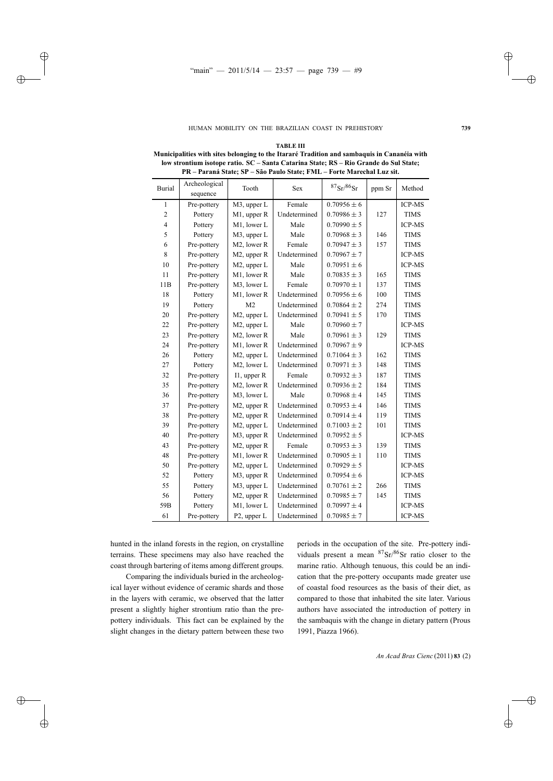#### **TABLE III**

| <b>Burial</b>  | Archeological<br>sequence | Tooth                    | <b>Sex</b>   | ${}^{87}Sr/{}^{86}Sr$ | ppm Sr | Method        |
|----------------|---------------------------|--------------------------|--------------|-----------------------|--------|---------------|
| $\mathbf{1}$   | Pre-pottery               | M3, upper L              | Female       | $0.70956 \pm 6$       |        | ICP-MS        |
| $\overline{c}$ | Pottery                   | M1, upper R              | Undetermined | $0.70986 \pm 3$       | 127    | <b>TIMS</b>   |
| $\overline{4}$ | Pottery                   | M1, lower L              | Male         | $0.70990 \pm 5$       |        | ICP-MS        |
| 5              | Pottery                   | M <sub>3</sub> , upper L | Male         | $0.70968 \pm 3$       | 146    | <b>TIMS</b>   |
| 6              | Pre-pottery               | M2, lower R              | Female       | $0.70947 \pm 3$       | 157    | <b>TIMS</b>   |
| $\,$ 8 $\,$    | Pre-pottery               | M2, upper R              | Undetermined | $0.70967 \pm 7$       |        | <b>ICP-MS</b> |
| 10             | Pre-pottery               | M2, upper L              | Male         | $0.70951 \pm 6$       |        | ICP-MS        |
| 11             | Pre-pottery               | M1, lower R              | Male         | $0.70835 \pm 3$       | 165    | <b>TIMS</b>   |
| 11B            | Pre-pottery               | M3, lower L              | Female       | $0.70970 \pm 1$       | 137    | <b>TIMS</b>   |
| 18             | Pottery                   | M1, lower R              | Undetermined | $0.70956 \pm 6$       | 100    | <b>TIMS</b>   |
| 19             | Pottery                   | M <sub>2</sub>           | Undetermined | $0.70864 \pm 2$       | 274    | <b>TIMS</b>   |
| 20             | Pre-pottery               | M2, upper L              | Undetermined | $0.70941 \pm 5$       | 170    | <b>TIMS</b>   |
| 22             | Pre-pottery               | M2, upper L              | Male         | $0.70960 \pm 7$       |        | ICP-MS        |
| 23             | Pre-pottery               | M2, lower R              | Male         | $0.70961 \pm 3$       | 129    | <b>TIMS</b>   |
| 24             | Pre-pottery               | M1, lower R              | Undetermined | $0.70967 \pm 9$       |        | ICP-MS        |
| 26             | Pottery                   | M2, upper L              | Undetermined | $0.71064 \pm 3$       | 162    | <b>TIMS</b>   |
| 27             | Pottery                   | M2, lower L              | Undetermined | $0.70971 \pm 3$       | 148    | <b>TIMS</b>   |
| 32             | Pre-pottery               | $I1$ , upper R           | Female       | $0.70932 \pm 3$       | 187    | <b>TIMS</b>   |
| 35             | Pre-pottery               | M2, lower R              | Undetermined | $0.70936 \pm 2$       | 184    | <b>TIMS</b>   |
| 36             | Pre-pottery               | M3, lower L              | Male         | $0.70968 \pm 4$       | 145    | <b>TIMS</b>   |
| 37             | Pre-pottery               | M2, upper R              | Undetermined | $0.70953 \pm 4$       | 146    | <b>TIMS</b>   |
| 38             | Pre-pottery               | M2, upper R              | Undetermined | $0.70914 \pm 4$       | 119    | <b>TIMS</b>   |
| 39             | Pre-pottery               | M2, upper L              | Undetermined | $0.71003 \pm 2$       | 101    | <b>TIMS</b>   |
| 40             | Pre-pottery               | M3, upper R              | Undetermined | $0.70952 \pm 5$       |        | ICP-MS        |
| 43             | Pre-pottery               | M2, upper R              | Female       | $0.70953 \pm 3$       | 139    | <b>TIMS</b>   |
| 48             | Pre-pottery               | M1, lower R              | Undetermined | $0.70905 \pm 1$       | 110    | <b>TIMS</b>   |
| 50             | Pre-pottery               | M2, upper L              | Undetermined | $0.70929 \pm 5$       |        | ICP-MS        |
| 52             | Pottery                   | M3, upper R              | Undetermined | $0.70954 \pm 6$       |        | ICP-MS        |
| 55             | Pottery                   | M3, upper L              | Undetermined | $0.70761 \pm 2$       | 266    | <b>TIMS</b>   |
| 56             | Pottery                   | M2, upper R              | Undetermined | $0.70985 \pm 7$       | 145    | <b>TIMS</b>   |
| 59B            | Pottery                   | M1, lower L              | Undetermined | $0.70997 \pm 4$       |        | ICP-MS        |
| 61             | Pre-pottery               | P2, upper L              | Undetermined | $0.70985 \pm 7$       |        | ICP-MS        |

**Municipalities with sites belonging to the Itararé Tradition and sambaquis in Cananéia with low strontium isotope ratio. SC – Santa Catarina State; RS – Rio Grande do Sul State; PR – Paraná State; SP – São Paulo State; FML – Forte Marechal Luz sit.**

hunted in the inland forests in the region, on crystalline terrains. These specimens may also have reached the coast through bartering of items among different groups.

Comparing the individuals buried in the archeological layer without evidence of ceramic shards and those in the layers with ceramic, we observed that the latter present a slightly higher strontium ratio than the prepottery individuals. This fact can be explained by the slight changes in the dietary pattern between these two

periods in the occupation of the site. Pre-pottery individuals present a mean 87Sr/86Sr ratio closer to the marine ratio. Although tenuous, this could be an indication that the pre-pottery occupants made greater use of coastal food resources as the basis of their diet, as compared to those that inhabited the site later. Various authors have associated the introduction of pottery in the sambaquis with the change in dietary pattern (Prous 1991, Piazza 1966).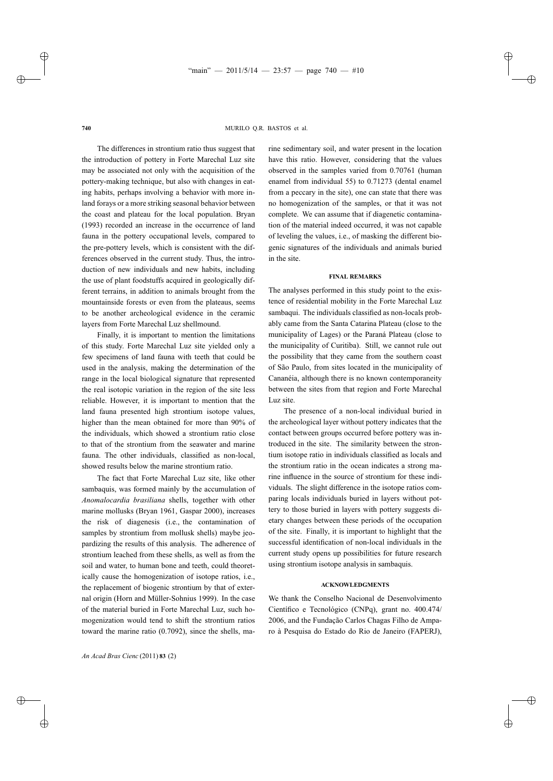The differences in strontium ratio thus suggest that the introduction of pottery in Forte Marechal Luz site may be associated not only with the acquisition of the pottery-making technique, but also with changes in eating habits, perhaps involving a behavior with more inland forays or a more striking seasonal behavior between the coast and plateau for the local population. Bryan (1993) recorded an increase in the occurrence of land fauna in the pottery occupational levels, compared to the pre-pottery levels, which is consistent with the differences observed in the current study. Thus, the introduction of new individuals and new habits, including the use of plant foodstuffs acquired in geologically different terrains, in addition to animals brought from the mountainside forests or even from the plateaus, seems to be another archeological evidence in the ceramic layers from Forte Marechal Luz shellmound.

Finally, it is important to mention the limitations of this study. Forte Marechal Luz site yielded only a few specimens of land fauna with teeth that could be used in the analysis, making the determination of the range in the local biological signature that represented the real isotopic variation in the region of the site less reliable. However, it is important to mention that the land fauna presented high strontium isotope values, higher than the mean obtained for more than 90% of the individuals, which showed a strontium ratio close to that of the strontium from the seawater and marine fauna. The other individuals, classified as non-local, showed results below the marine strontium ratio.

The fact that Forte Marechal Luz site, like other sambaquis, was formed mainly by the accumulation of *Anomalocardia brasiliana* shells, together with other marine mollusks (Bryan 1961, Gaspar 2000), increases the risk of diagenesis (i.e., the contamination of samples by strontium from mollusk shells) maybe jeopardizing the results of this analysis. The adherence of strontium leached from these shells, as well as from the soil and water, to human bone and teeth, could theoretically cause the homogenization of isotope ratios, i.e., the replacement of biogenic strontium by that of external origin (Horn and Müller-Sohnius 1999). In the case of the material buried in Forte Marechal Luz, such homogenization would tend to shift the strontium ratios toward the marine ratio (0.7092), since the shells, marine sedimentary soil, and water present in the location have this ratio. However, considering that the values observed in the samples varied from 0.70761 (human enamel from individual 55) to 0.71273 (dental enamel from a peccary in the site), one can state that there was no homogenization of the samples, or that it was not complete. We can assume that if diagenetic contamination of the material indeed occurred, it was not capable of leveling the values, i.e., of masking the different biogenic signatures of the individuals and animals buried in the site.

## **FINAL REMARKS**

The analyses performed in this study point to the existence of residential mobility in the Forte Marechal Luz sambaqui. The individuals classified as non-locals probably came from the Santa Catarina Plateau (close to the municipality of Lages) or the Paraná Plateau (close to the municipality of Curitiba). Still, we cannot rule out the possibility that they came from the southern coast of São Paulo, from sites located in the municipality of Cananéia, although there is no known contemporaneity between the sites from that region and Forte Marechal Luz site.

The presence of a non-local individual buried in the archeological layer without pottery indicates that the contact between groups occurred before pottery was introduced in the site. The similarity between the strontium isotope ratio in individuals classified as locals and the strontium ratio in the ocean indicates a strong marine influence in the source of strontium for these individuals. The slight difference in the isotope ratios comparing locals individuals buried in layers without pottery to those buried in layers with pottery suggests dietary changes between these periods of the occupation of the site. Finally, it is important to highlight that the successful identification of non-local individuals in the current study opens up possibilities for future research using strontium isotope analysis in sambaquis.

## **ACKNOWLEDGMENTS**

We thank the Conselho Nacional de Desenvolvimento Científico e Tecnológico (CNPq), grant no. 400.474/ 2006, and the Fundação Carlos Chagas Filho de Amparo à Pesquisa do Estado do Rio de Janeiro (FAPERJ),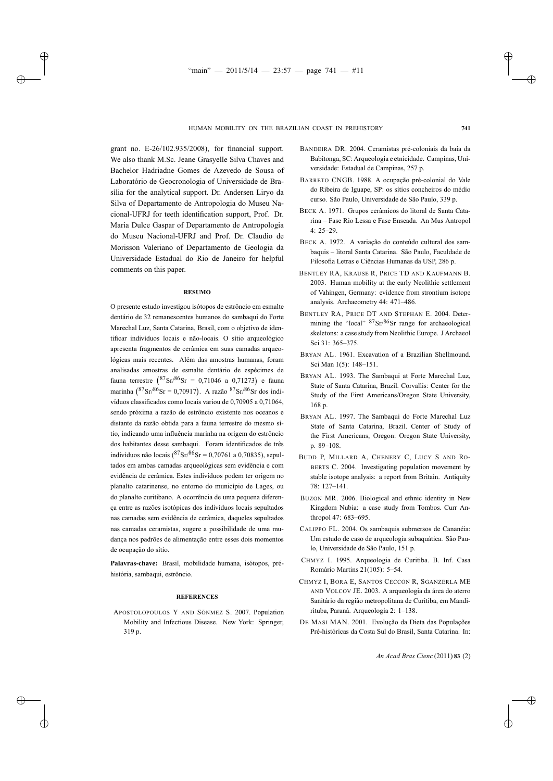grant no. E-26/102.935/2008), for financial support. We also thank M.Sc. Jeane Grasyelle Silva Chaves and Bachelor Hadriadne Gomes de Azevedo de Sousa of Laboratório de Geocronologia of Universidade de Brasília for the analytical support. Dr. Andersen Liryo da Silva of Departamento de Antropologia do Museu Nacional-UFRJ for teeth identification support, Prof. Dr. Maria Dulce Gaspar of Departamento de Antropologia do Museu Nacional-UFRJ and Prof. Dr. Claudio de Morisson Valeriano of Departamento de Geologia da Universidade Estadual do Rio de Janeiro for helpful comments on this paper.

#### **RESUMO**

O presente estudo investigou isótopos de estrôncio em esmalte dentário de 32 remanescentes humanos do sambaqui do Forte Marechal Luz, Santa Catarina, Brasil, com o objetivo de identificar indivíduos locais e não-locais. O sítio arqueológico apresenta fragmentos de cerâmica em suas camadas arqueológicas mais recentes. Além das amostras humanas, foram analisadas amostras de esmalte dentário de espécimes de fauna terrestre  $({}^{87}Sr/{}^{86}Sr = 0,71046$  a 0,71273) e fauna marinha (<sup>87</sup>Sr/<sup>86</sup>Sr = 0,70917). A razão <sup>87</sup>Sr/<sup>86</sup>Sr dos indivíduos classificados como locais variou de 0,70905 a 0,71064, sendo próxima a razão de estrôncio existente nos oceanos e distante da razão obtida para a fauna terrestre do mesmo sítio, indicando uma influência marinha na origem do estrôncio dos habitantes desse sambaqui. Foram identificados de três indivíduos não locais ( ${}^{87}Sr/{}^{86}Sr = 0,70761$  a 0,70835), sepultados em ambas camadas arqueológicas sem evidência e com evidência de cerâmica. Estes indivíduos podem ter origem no planalto catarinense, no entorno do município de Lages, ou do planalto curitibano. A ocorrência de uma pequena diferença entre as razões isotópicas dos indivíduos locais sepultados nas camadas sem evidência de cerâmica, daqueles sepultados nas camadas ceramistas, sugere a possibilidade de uma mudança nos padrões de alimentação entre esses dois momentos de ocupação do sítio.

**Palavras-chave:** Brasil, mobilidade humana, isótopos, préhistória, sambaqui, estrôncio.

#### **REFERENCES**

APOSTOLOPOULOS Y AND SÖNMEZ S. 2007. Population Mobility and Infectious Disease. New York: Springer, 319 p.

- BANDEIRA DR. 2004. Ceramistas pré-coloniais da baía da Babitonga, SC: Arqueologia e etnicidade. Campinas, Universidade: Estadual de Campinas, 257 p.
- BARRETO CNGB. 1988. A ocupação pré-colonial do Vale do Ribeira de Iguape, SP: os sítios concheiros do médio curso. São Paulo, Universidade de São Paulo, 339 p.
- BECK A. 1971. Grupos cerâmicos do litoral de Santa Catarina – Fase Rio Lessa e Fase Enseada. An Mus Antropol 4: 25–29.
- BECK A. 1972. A variação do conteúdo cultural dos sambaquis – litoral Santa Catarina. São Paulo, Faculdade de Filosofia Letras e Ciências Humanas da USP, 286 p.
- BENTLEY RA, KRAUSE R, PRICE TD AND KAUFMANN B. 2003. Human mobility at the early Neolithic settlement of Vahingen, Germany: evidence from strontium isotope analysis. Archaeometry 44: 471–486.
- BENTLEY RA, PRICE DT AND STEPHAN E. 2004. Determining the "local"  $87\text{Sr}/86\text{Sr}$  range for archaeological skeletons: a case study from Neolithic Europe. J Archaeol Sci 31: 365–375.
- BRYAN AL. 1961. Excavation of a Brazilian Shellmound. Sci Man 1(5): 148–151.
- BRYAN AL. 1993. The Sambaqui at Forte Marechal Luz, State of Santa Catarina, Brazil. Corvallis: Center for the Study of the First Americans/Oregon State University, 168 p.
- BRYAN AL. 1997. The Sambaqui do Forte Marechal Luz State of Santa Catarina, Brazil. Center of Study of the First Americans, Oregon: Oregon State University, p. 89–108.
- BUDD P, MILLARD A, CHENERY C, LUCY S AND RO-BERTS C. 2004. Investigating population movement by stable isotope analysis: a report from Britain. Antiquity 78: 127–141.
- BUZON MR. 2006. Biological and ethnic identity in New Kingdom Nubia: a case study from Tombos. Curr Anthropol 47: 683–695.
- CALIPPO FL. 2004. Os sambaquis submersos de Cananéia: Um estudo de caso de arqueologia subaquática. São Paulo, Universidade de São Paulo, 151 p.
- CHMYZ I. 1995. Arqueologia de Curitiba. B. Inf. Casa Romário Martins 21(105): 5–54.
- CHMYZ I, BORA E, SANTOS CECCON R, SGANZERLA ME AND VOLCOV JE. 2003. A arqueologia da área do aterro Sanitário da região metropolitana de Curitiba, em Mandirituba, Paraná. Arqueologia 2: 1–138.
- DE MASI MAN. 2001. Evolução da Dieta das Populações Pré-históricas da Costa Sul do Brasil, Santa Catarina. In: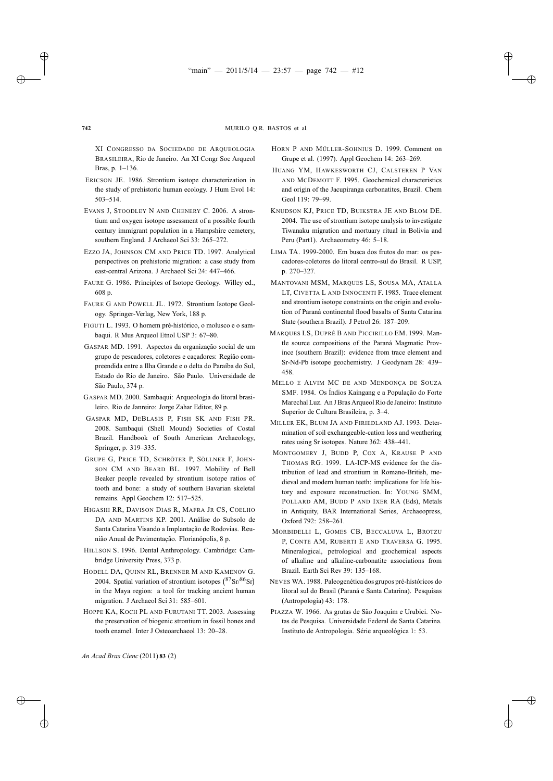XI CONGRESSO DA SOCIEDADE DE ARQUEOLOGIA BRASILEIRA, Rio de Janeiro. An XI Congr Soc Arqueol Bras, p. 1–136.

- ERICSON JE. 1986. Strontium isotope characterization in the study of prehistoric human ecology. J Hum Evol 14: 503–514.
- EVANS J, STOODLEY N AND CHENERY C. 2006. A strontium and oxygen isotope assessment of a possible fourth century immigrant population in a Hampshire cemetery, southern England. J Archaeol Sci 33: 265–272.
- EZZO JA, JOHNSON CM AND PRICE TD. 1997. Analytical perspectives on prehistoric migration: a case study from east-central Arizona. J Archaeol Sci 24: 447–466.
- FAURE G. 1986. Principles of Isotope Geology. Willey ed., 608 p.
- FAURE G AND POWELL JL. 1972. Strontium Isotope Geology. Springer-Verlag, New York, 188 p.
- FIGUTI L. 1993. O homem pré-histórico, o molusco e o sambaqui. R Mus Arqueol Etnol USP 3: 67–80.
- GASPAR MD. 1991. Aspectos da organização social de um grupo de pescadores, coletores e caçadores: Região compreendida entre a Ilha Grande e o delta do Paraíba do Sul, Estado do Rio de Janeiro. São Paulo. Universidade de São Paulo, 374 p.
- GASPAR MD. 2000. Sambaqui: Arqueologia do litoral brasileiro. Rio de Janreiro: Jorge Zahar Editor, 89 p.
- GASPAR MD, DEBLASIS P, FISH SK AND FISH PR. 2008. Sambaqui (Shell Mound) Societies of Costal Brazil. Handbook of South American Archaeology, Springer, p. 319–335.
- GRUPE G, PRICE TD, SCHRÖTER P, SÖLLNER F, JOHN-SON CM AND BEARD BL. 1997. Mobility of Bell Beaker people revealed by strontium isotope ratios of tooth and bone: a study of southern Bavarian skeletal remains. Appl Geochem 12: 517–525.
- HIGASHI RR, DAVISON DIAS R, MAFRA JR CS, COELHO DA AND MARTINS KP. 2001. Análise do Subsolo de Santa Catarina Visando a Implantação de Rodovias. Reunião Anual de Pavimentação. Florianópolis, 8 p.
- HILLSON S. 1996. Dental Anthropology. Cambridge: Cambridge University Press, 373 p.
- HODELL DA, QUINN RL, BRENNER M AND KAMENOV G. 2004. Spatial variation of strontium isotopes  $(^{87}\text{Sr}/^{86}\text{Sr})$ in the Maya region: a tool for tracking ancient human migration. J Archaeol Sci 31: 585–601.
- HOPPE KA, KOCH PL AND FURUTANI TT. 2003. Assessing the preservation of biogenic strontium in fossil bones and tooth enamel. Inter J Osteoarchaeol 13: 20–28.
- HORN P AND MÜLLER-SOHNIUS D. 1999. Comment on Grupe et al. (1997). Appl Geochem 14: 263–269.
- HUANG YM, HAWKESWORTH CJ, CALSTEREN P VAN AND MCDEMOTT F. 1995. Geochemical characteristics and origin of the Jacupiranga carbonatites, Brazil. Chem Geol 119: 79–99.
- KNUDSON KJ, PRICE TD, BUIKSTRA JE AND BLOM DE. 2004. The use of strontium isotope analysis to investigate Tiwanaku migration and mortuary ritual in Bolivia and Peru (Part1). Archaeometry 46: 5–18.
- LIMA TA. 1999-2000. Em busca dos frutos do mar: os pescadores-coletores do litoral centro-sul do Brasil. R USP, p. 270–327.
- MANTOVANI MSM, MARQUES LS, SOUSA MA, ATALLA LT, CIVETTA L AND INNOCENTI F. 1985. Trace element and strontium isotope constraints on the origin and evolution of Paraná continental flood basalts of Santa Catarina State (southern Brazil). J Petrol 26: 187–209.
- MARQUES LS, DUPRÉ B AND PICCIRILLO EM. 1999. Mantle source compositions of the Paraná Magmatic Province (southern Brazil): evidence from trace element and Sr-Nd-Pb isotope geochemistry. J Geodynam 28: 439– 458.
- MELLO E ALVIM MC DE AND MENDONÇA DE SOUZA SMF. 1984. Os Índios Kaingang e a População do Forte Marechal Luz. An J Bras Arqueol Rio de Janeiro: Instituto Superior de Cultura Brasileira, p. 3–4.
- MILLER EK, BLUM JA AND FIRIEDLAND AJ. 1993. Determination of soil exchangeable-cation loss and weathering rates using Sr isotopes. Nature 362: 438–441.
- MONTGOMERY J, BUDD P, COX A, KRAUSE P AND THOMAS RG. 1999. LA-ICP-MS evidence for the distribution of lead and strontium in Romano-British, medieval and modern human teeth: implications for life history and exposure reconstruction. In: YOUNG SMM, POLLARD AM, BUDD P AND IXER RA (Eds), Metals in Antiquity, BAR International Series, Archaeopress, Oxford 792: 258–261.
- MORBIDELLI L, GOMES CB, BECCALUVA L, BROTZU P, CONTE AM, RUBERTI E AND TRAVERSA G. 1995. Mineralogical, petrological and geochemical aspects of alkaline and alkaline-carbonatite associations from Brazil. Earth Sci Rev 39: 135–168.
- NEVES WA. 1988. Paleogenética dos grupos pré-históricos do litoral sul do Brasil (Paraná e Santa Catarina). Pesquisas (Antropologia) 43: 178.
- PIAZZA W. 1966. As grutas de São Joaquim e Urubici. Notas de Pesquisa. Universidade Federal de Santa Catarina. Instituto de Antropologia. Série arqueológica 1: 53.